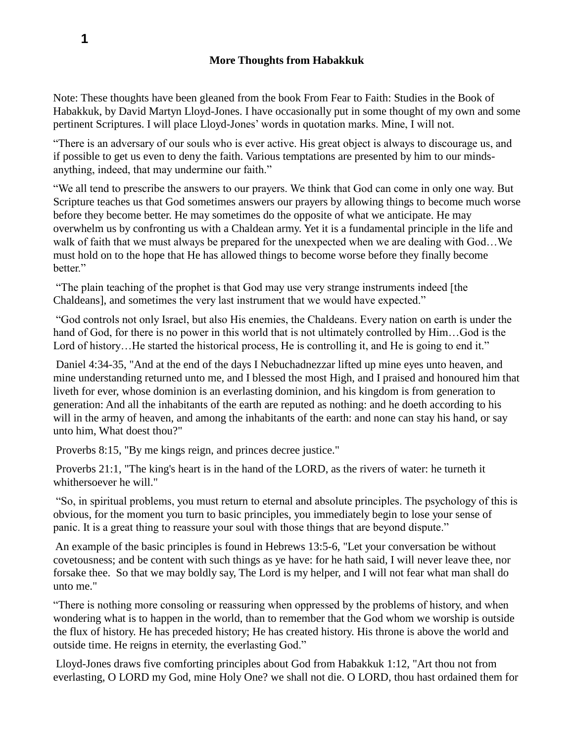Note: These thoughts have been gleaned from the book From Fear to Faith: Studies in the Book of Habakkuk, by David Martyn Lloyd-Jones. I have occasionally put in some thought of my own and some pertinent Scriptures. I will place Lloyd-Jones' words in quotation marks. Mine, I will not.

"There is an adversary of our souls who is ever active. His great object is always to discourage us, and if possible to get us even to deny the faith. Various temptations are presented by him to our mindsanything, indeed, that may undermine our faith."

"We all tend to prescribe the answers to our prayers. We think that God can come in only one way. But Scripture teaches us that God sometimes answers our prayers by allowing things to become much worse before they become better. He may sometimes do the opposite of what we anticipate. He may overwhelm us by confronting us with a Chaldean army. Yet it is a fundamental principle in the life and walk of faith that we must always be prepared for the unexpected when we are dealing with God…We must hold on to the hope that He has allowed things to become worse before they finally become better."

"The plain teaching of the prophet is that God may use very strange instruments indeed [the Chaldeans], and sometimes the very last instrument that we would have expected."

"God controls not only Israel, but also His enemies, the Chaldeans. Every nation on earth is under the hand of God, for there is no power in this world that is not ultimately controlled by Him…God is the Lord of history...He started the historical process, He is controlling it, and He is going to end it."

Daniel 4:34-35, "And at the end of the days I Nebuchadnezzar lifted up mine eyes unto heaven, and mine understanding returned unto me, and I blessed the most High, and I praised and honoured him that liveth for ever, whose dominion is an everlasting dominion, and his kingdom is from generation to generation: And all the inhabitants of the earth are reputed as nothing: and he doeth according to his will in the army of heaven, and among the inhabitants of the earth: and none can stay his hand, or say unto him, What doest thou?"

Proverbs 8:15, "By me kings reign, and princes decree justice."

Proverbs 21:1, "The king's heart is in the hand of the LORD, as the rivers of water: he turneth it whithersoever he will."

"So, in spiritual problems, you must return to eternal and absolute principles. The psychology of this is obvious, for the moment you turn to basic principles, you immediately begin to lose your sense of panic. It is a great thing to reassure your soul with those things that are beyond dispute."

An example of the basic principles is found in Hebrews 13:5-6, "Let your conversation be without covetousness; and be content with such things as ye have: for he hath said, I will never leave thee, nor forsake thee. So that we may boldly say, The Lord is my helper, and I will not fear what man shall do unto me."

"There is nothing more consoling or reassuring when oppressed by the problems of history, and when wondering what is to happen in the world, than to remember that the God whom we worship is outside the flux of history. He has preceded history; He has created history. His throne is above the world and outside time. He reigns in eternity, the everlasting God."

Lloyd-Jones draws five comforting principles about God from Habakkuk 1:12, "Art thou not from everlasting, O LORD my God, mine Holy One? we shall not die. O LORD, thou hast ordained them for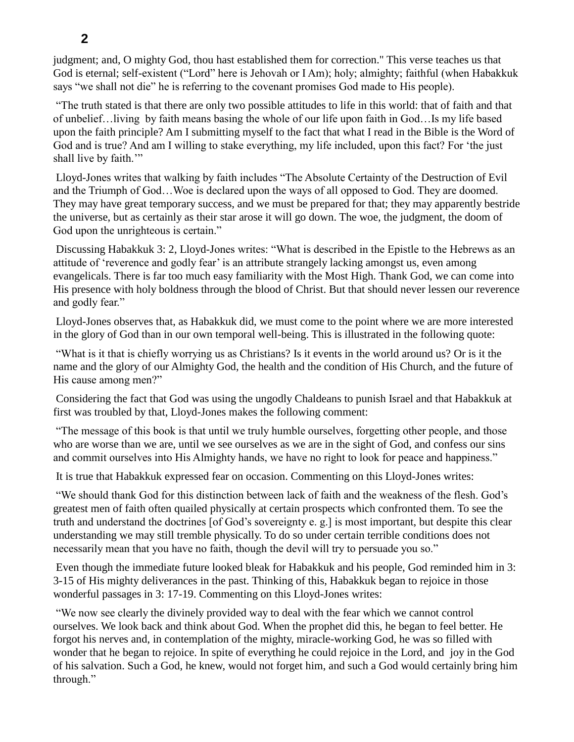judgment; and, O mighty God, thou hast established them for correction." This verse teaches us that God is eternal; self-existent ("Lord" here is Jehovah or I Am); holy; almighty; faithful (when Habakkuk says "we shall not die" he is referring to the covenant promises God made to His people).

"The truth stated is that there are only two possible attitudes to life in this world: that of faith and that of unbelief…living by faith means basing the whole of our life upon faith in God…Is my life based upon the faith principle? Am I submitting myself to the fact that what I read in the Bible is the Word of God and is true? And am I willing to stake everything, my life included, upon this fact? For 'the just shall live by faith."

Lloyd-Jones writes that walking by faith includes "The Absolute Certainty of the Destruction of Evil and the Triumph of God…Woe is declared upon the ways of all opposed to God. They are doomed. They may have great temporary success, and we must be prepared for that; they may apparently bestride the universe, but as certainly as their star arose it will go down. The woe, the judgment, the doom of God upon the unrighteous is certain."

Discussing Habakkuk 3: 2, Lloyd-Jones writes: "What is described in the Epistle to the Hebrews as an attitude of 'reverence and godly fear' is an attribute strangely lacking amongst us, even among evangelicals. There is far too much easy familiarity with the Most High. Thank God, we can come into His presence with holy boldness through the blood of Christ. But that should never lessen our reverence and godly fear."

Lloyd-Jones observes that, as Habakkuk did, we must come to the point where we are more interested in the glory of God than in our own temporal well-being. This is illustrated in the following quote:

"What is it that is chiefly worrying us as Christians? Is it events in the world around us? Or is it the name and the glory of our Almighty God, the health and the condition of His Church, and the future of His cause among men?"

Considering the fact that God was using the ungodly Chaldeans to punish Israel and that Habakkuk at first was troubled by that, Lloyd-Jones makes the following comment:

"The message of this book is that until we truly humble ourselves, forgetting other people, and those who are worse than we are, until we see ourselves as we are in the sight of God, and confess our sins and commit ourselves into His Almighty hands, we have no right to look for peace and happiness."

It is true that Habakkuk expressed fear on occasion. Commenting on this Lloyd-Jones writes:

"We should thank God for this distinction between lack of faith and the weakness of the flesh. God's greatest men of faith often quailed physically at certain prospects which confronted them. To see the truth and understand the doctrines [of God's sovereignty e. g.] is most important, but despite this clear understanding we may still tremble physically. To do so under certain terrible conditions does not necessarily mean that you have no faith, though the devil will try to persuade you so."

Even though the immediate future looked bleak for Habakkuk and his people, God reminded him in 3: 3-15 of His mighty deliverances in the past. Thinking of this, Habakkuk began to rejoice in those wonderful passages in 3: 17-19. Commenting on this Lloyd-Jones writes:

"We now see clearly the divinely provided way to deal with the fear which we cannot control ourselves. We look back and think about God. When the prophet did this, he began to feel better. He forgot his nerves and, in contemplation of the mighty, miracle-working God, he was so filled with wonder that he began to rejoice. In spite of everything he could rejoice in the Lord, and joy in the God of his salvation. Such a God, he knew, would not forget him, and such a God would certainly bring him through."